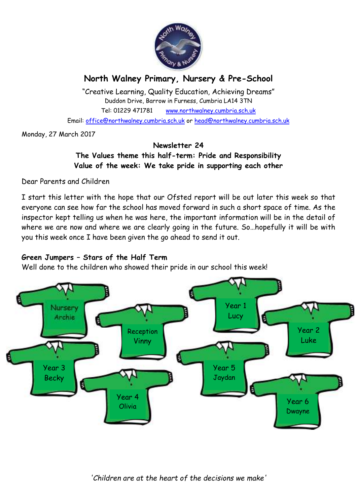

# **North Walney Primary, Nursery & Pre-School**

"Creative Learning, Quality Education, Achieving Dreams" Duddon Drive, Barrow in Furness, Cumbria LA14 3TN Tel: 01229 471781 www.northwalney.cumbria.sch.uk Email: office@northwalney.cumbria.sch.uk or head@northwalney.cumbria.sch.uk

Monday, 27 March 2017

#### **Newsletter 24**

**The Values theme this half-term: Pride and Responsibility Value of the week: We take pride in supporting each other** 

Dear Parents and Children

I start this letter with the hope that our Ofsted report will be out later this week so that everyone can see how far the school has moved forward in such a short space of time. As the inspector kept telling us when he was here, the important information will be in the detail of where we are now and where we are clearly going in the future. So…hopefully it will be with you this week once I have been given the go ahead to send it out.

## **Green Jumpers – Stars of the Half Term**

Well done to the children who showed their pride in our school this week!

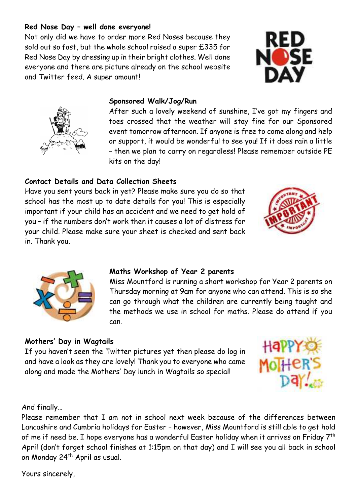#### **Red Nose Day – well done everyone!**

Not only did we have to order more Red Noses because they sold out so fast, but the whole school raised a super £335 for Red Nose Day by dressing up in their bright clothes. Well done everyone and there are picture already on the school website and Twitter feed. A super amount!

#### **Sponsored Walk/Jog/Run**

After such a lovely weekend of sunshine, I've got my fingers and toes crossed that the weather will stay fine for our Sponsored event tomorrow afternoon. If anyone is free to come along and help or support, it would be wonderful to see you! If it does rain a little – then we plan to carry on regardless! Please remember outside PE kits on the day!

## **Contact Details and Data Collection Sheets**

Have you sent yours back in yet? Please make sure you do so that school has the most up to date details for you! This is especially important if your child has an accident and we need to get hold of you – if the numbers don't work then it causes a lot of distress for your child. Please make sure your sheet is checked and sent back in. Thank you.

#### **Maths Workshop of Year 2 parents**

Miss Mountford is running a short workshop for Year 2 parents on Thursday morning at 9am for anyone who can attend. This is so she can go through what the children are currently being taught and the methods we use in school for maths. Please do attend if you can.

# **Mothers' Day in Wagtails**

If you haven't seen the Twitter pictures yet then please do log in and have a look as they are lovely! Thank you to everyone who came along and made the Mothers' Day lunch in Wagtails so special!

And finally…

Please remember that I am not in school next week because of the differences between Lancashire and Cumbria holidays for Easter – however, Miss Mountford is still able to get hold of me if need be. I hope everyone has a wonderful Easter holiday when it arrives on Friday 7<sup>th</sup> April (don't forget school finishes at 1:15pm on that day) and I will see you all back in school on Monday 24th April as usual.

Yours sincerely,